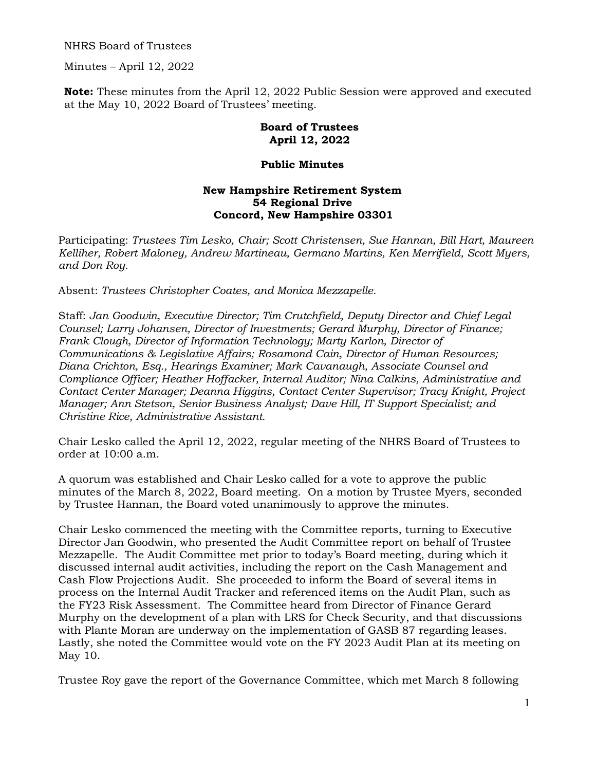NHRS Board of Trustees

Minutes – April 12, 2022

**Note:** These minutes from the April 12, 2022 Public Session were approved and executed at the May 10, 2022 Board of Trustees' meeting.

## **Board of Trustees April 12, 2022**

## **Public Minutes**

## **New Hampshire Retirement System 54 Regional Drive Concord, New Hampshire 03301**

Participating: *Trustees Tim Lesko, Chair; Scott Christensen, Sue Hannan, Bill Hart, Maureen Kelliher, Robert Maloney, Andrew Martineau, Germano Martins, Ken Merrifield, Scott Myers, and Don Roy.* 

Absent: *Trustees Christopher Coates, and Monica Mezzapelle.*

Staff: *Jan Goodwin, Executive Director; Tim Crutchfield, Deputy Director and Chief Legal Counsel; Larry Johansen, Director of Investments; Gerard Murphy, Director of Finance; Frank Clough, Director of Information Technology; Marty Karlon, Director of Communications & Legislative Affairs; Rosamond Cain, Director of Human Resources; Diana Crichton, Esq., Hearings Examiner; Mark Cavanaugh, Associate Counsel and Compliance Officer; Heather Hoffacker, Internal Auditor; Nina Calkins, Administrative and Contact Center Manager; Deanna Higgins, Contact Center Supervisor; Tracy Knight, Project Manager; Ann Stetson, Senior Business Analyst; Dave Hill, IT Support Specialist; and Christine Rice, Administrative Assistant.* 

Chair Lesko called the April 12, 2022, regular meeting of the NHRS Board of Trustees to order at 10:00 a.m.

A quorum was established and Chair Lesko called for a vote to approve the public minutes of the March 8, 2022, Board meeting. On a motion by Trustee Myers, seconded by Trustee Hannan, the Board voted unanimously to approve the minutes.

Chair Lesko commenced the meeting with the Committee reports, turning to Executive Director Jan Goodwin, who presented the Audit Committee report on behalf of Trustee Mezzapelle. The Audit Committee met prior to today's Board meeting, during which it discussed internal audit activities, including the report on the Cash Management and Cash Flow Projections Audit. She proceeded to inform the Board of several items in process on the Internal Audit Tracker and referenced items on the Audit Plan, such as the FY23 Risk Assessment. The Committee heard from Director of Finance Gerard Murphy on the development of a plan with LRS for Check Security, and that discussions with Plante Moran are underway on the implementation of GASB 87 regarding leases. Lastly, she noted the Committee would vote on the FY 2023 Audit Plan at its meeting on May 10.

Trustee Roy gave the report of the Governance Committee, which met March 8 following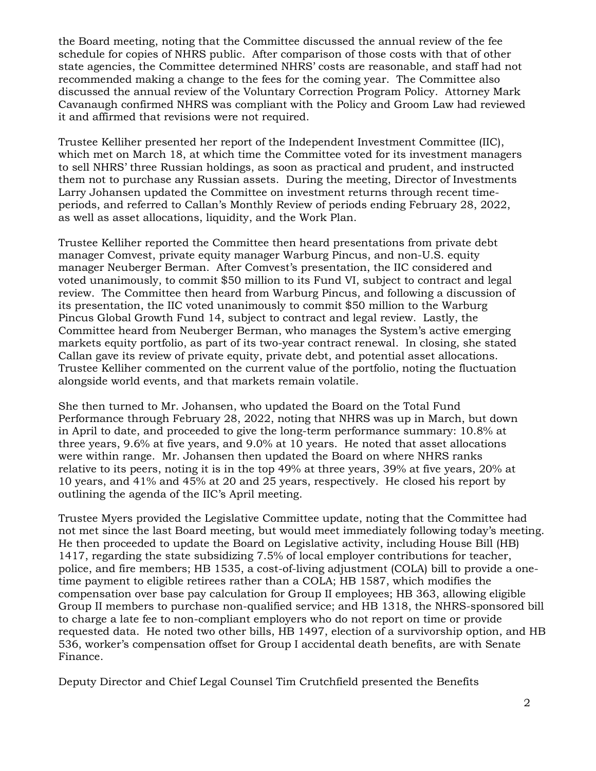the Board meeting, noting that the Committee discussed the annual review of the fee schedule for copies of NHRS public. After comparison of those costs with that of other state agencies, the Committee determined NHRS' costs are reasonable, and staff had not recommended making a change to the fees for the coming year. The Committee also discussed the annual review of the Voluntary Correction Program Policy. Attorney Mark Cavanaugh confirmed NHRS was compliant with the Policy and Groom Law had reviewed it and affirmed that revisions were not required.

Trustee Kelliher presented her report of the Independent Investment Committee (IIC), which met on March 18, at which time the Committee voted for its investment managers to sell NHRS' three Russian holdings, as soon as practical and prudent, and instructed them not to purchase any Russian assets. During the meeting, Director of Investments Larry Johansen updated the Committee on investment returns through recent timeperiods, and referred to Callan's Monthly Review of periods ending February 28, 2022, as well as asset allocations, liquidity, and the Work Plan.

Trustee Kelliher reported the Committee then heard presentations from private debt manager Comvest, private equity manager Warburg Pincus, and non-U.S. equity manager Neuberger Berman. After Comvest's presentation, the IIC considered and voted unanimously, to commit \$50 million to its Fund VI, subject to contract and legal review. The Committee then heard from Warburg Pincus, and following a discussion of its presentation, the IIC voted unanimously to commit \$50 million to the Warburg Pincus Global Growth Fund 14, subject to contract and legal review. Lastly, the Committee heard from Neuberger Berman, who manages the System's active emerging markets equity portfolio, as part of its two-year contract renewal. In closing, she stated Callan gave its review of private equity, private debt, and potential asset allocations. Trustee Kelliher commented on the current value of the portfolio, noting the fluctuation alongside world events, and that markets remain volatile.

She then turned to Mr. Johansen, who updated the Board on the Total Fund Performance through February 28, 2022, noting that NHRS was up in March, but down in April to date, and proceeded to give the long-term performance summary: 10.8% at three years, 9.6% at five years, and 9.0% at 10 years. He noted that asset allocations were within range. Mr. Johansen then updated the Board on where NHRS ranks relative to its peers, noting it is in the top 49% at three years, 39% at five years, 20% at 10 years, and 41% and 45% at 20 and 25 years, respectively. He closed his report by outlining the agenda of the IIC's April meeting.

Trustee Myers provided the Legislative Committee update, noting that the Committee had not met since the last Board meeting, but would meet immediately following today's meeting. He then proceeded to update the Board on Legislative activity, including House Bill (HB) 1417, regarding the state subsidizing 7.5% of local employer contributions for teacher, police, and fire members; HB 1535, a cost-of-living adjustment (COLA) bill to provide a onetime payment to eligible retirees rather than a COLA; HB 1587, which modifies the compensation over base pay calculation for Group II employees; HB 363, allowing eligible Group II members to purchase non-qualified service; and HB 1318, the NHRS-sponsored bill to charge a late fee to non-compliant employers who do not report on time or provide requested data. He noted two other bills, HB 1497, election of a survivorship option, and HB 536, worker's compensation offset for Group I accidental death benefits, are with Senate Finance.

Deputy Director and Chief Legal Counsel Tim Crutchfield presented the Benefits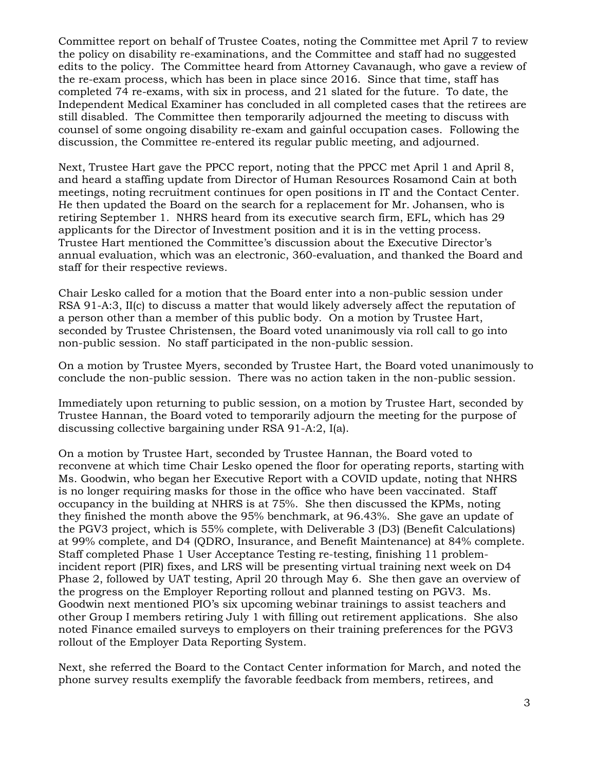Committee report on behalf of Trustee Coates, noting the Committee met April 7 to review the policy on disability re-examinations, and the Committee and staff had no suggested edits to the policy. The Committee heard from Attorney Cavanaugh, who gave a review of the re-exam process, which has been in place since 2016. Since that time, staff has completed 74 re-exams, with six in process, and 21 slated for the future. To date, the Independent Medical Examiner has concluded in all completed cases that the retirees are still disabled. The Committee then temporarily adjourned the meeting to discuss with counsel of some ongoing disability re-exam and gainful occupation cases. Following the discussion, the Committee re-entered its regular public meeting, and adjourned.

Next, Trustee Hart gave the PPCC report, noting that the PPCC met April 1 and April 8, and heard a staffing update from Director of Human Resources Rosamond Cain at both meetings, noting recruitment continues for open positions in IT and the Contact Center. He then updated the Board on the search for a replacement for Mr. Johansen, who is retiring September 1. NHRS heard from its executive search firm, EFL, which has 29 applicants for the Director of Investment position and it is in the vetting process. Trustee Hart mentioned the Committee's discussion about the Executive Director's annual evaluation, which was an electronic, 360-evaluation, and thanked the Board and staff for their respective reviews.

Chair Lesko called for a motion that the Board enter into a non-public session under RSA 91-A:3, II(c) to discuss a matter that would likely adversely affect the reputation of a person other than a member of this public body. On a motion by Trustee Hart, seconded by Trustee Christensen, the Board voted unanimously via roll call to go into non-public session. No staff participated in the non-public session.

On a motion by Trustee Myers, seconded by Trustee Hart, the Board voted unanimously to conclude the non-public session. There was no action taken in the non-public session.

Immediately upon returning to public session, on a motion by Trustee Hart, seconded by Trustee Hannan, the Board voted to temporarily adjourn the meeting for the purpose of discussing collective bargaining under RSA 91-A:2, I(a).

On a motion by Trustee Hart, seconded by Trustee Hannan, the Board voted to reconvene at which time Chair Lesko opened the floor for operating reports, starting with Ms. Goodwin, who began her Executive Report with a COVID update, noting that NHRS is no longer requiring masks for those in the office who have been vaccinated. Staff occupancy in the building at NHRS is at 75%. She then discussed the KPMs, noting they finished the month above the 95% benchmark, at 96.43%. She gave an update of the PGV3 project, which is 55% complete, with Deliverable 3 (D3) (Benefit Calculations) at 99% complete, and D4 (QDRO, Insurance, and Benefit Maintenance) at 84% complete. Staff completed Phase 1 User Acceptance Testing re-testing, finishing 11 problemincident report (PIR) fixes, and LRS will be presenting virtual training next week on D4 Phase 2, followed by UAT testing, April 20 through May 6. She then gave an overview of the progress on the Employer Reporting rollout and planned testing on PGV3. Ms. Goodwin next mentioned PIO's six upcoming webinar trainings to assist teachers and other Group I members retiring July 1 with filling out retirement applications. She also noted Finance emailed surveys to employers on their training preferences for the PGV3 rollout of the Employer Data Reporting System.

Next, she referred the Board to the Contact Center information for March, and noted the phone survey results exemplify the favorable feedback from members, retirees, and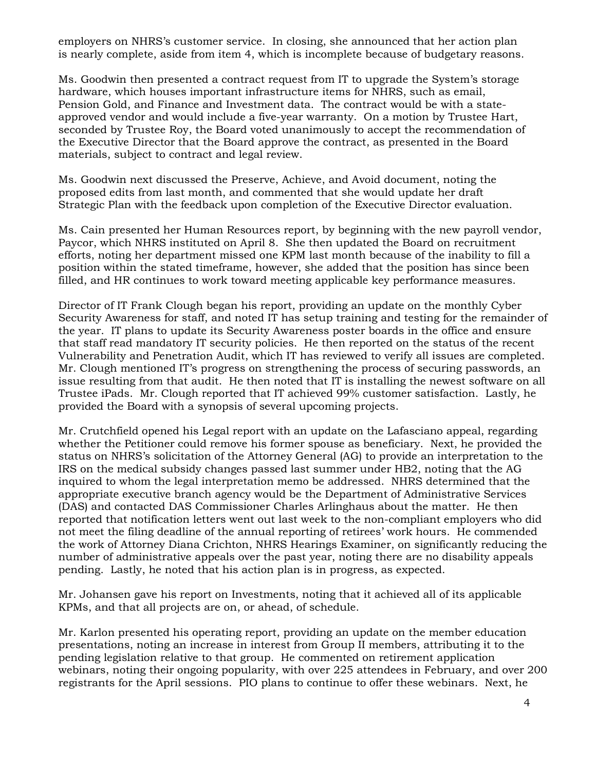employers on NHRS's customer service. In closing, she announced that her action plan is nearly complete, aside from item 4, which is incomplete because of budgetary reasons.

Ms. Goodwin then presented a contract request from IT to upgrade the System's storage hardware, which houses important infrastructure items for NHRS, such as email, Pension Gold, and Finance and Investment data. The contract would be with a stateapproved vendor and would include a five-year warranty. On a motion by Trustee Hart, seconded by Trustee Roy, the Board voted unanimously to accept the recommendation of the Executive Director that the Board approve the contract, as presented in the Board materials, subject to contract and legal review.

Ms. Goodwin next discussed the Preserve, Achieve, and Avoid document, noting the proposed edits from last month, and commented that she would update her draft Strategic Plan with the feedback upon completion of the Executive Director evaluation.

Ms. Cain presented her Human Resources report, by beginning with the new payroll vendor, Paycor, which NHRS instituted on April 8. She then updated the Board on recruitment efforts, noting her department missed one KPM last month because of the inability to fill a position within the stated timeframe, however, she added that the position has since been filled, and HR continues to work toward meeting applicable key performance measures.

Director of IT Frank Clough began his report, providing an update on the monthly Cyber Security Awareness for staff, and noted IT has setup training and testing for the remainder of the year. IT plans to update its Security Awareness poster boards in the office and ensure that staff read mandatory IT security policies. He then reported on the status of the recent Vulnerability and Penetration Audit, which IT has reviewed to verify all issues are completed. Mr. Clough mentioned IT's progress on strengthening the process of securing passwords, an issue resulting from that audit. He then noted that IT is installing the newest software on all Trustee iPads. Mr. Clough reported that IT achieved 99% customer satisfaction. Lastly, he provided the Board with a synopsis of several upcoming projects.

Mr. Crutchfield opened his Legal report with an update on the Lafasciano appeal, regarding whether the Petitioner could remove his former spouse as beneficiary. Next, he provided the status on NHRS's solicitation of the Attorney General (AG) to provide an interpretation to the IRS on the medical subsidy changes passed last summer under HB2, noting that the AG inquired to whom the legal interpretation memo be addressed. NHRS determined that the appropriate executive branch agency would be the Department of Administrative Services (DAS) and contacted DAS Commissioner Charles Arlinghaus about the matter. He then reported that notification letters went out last week to the non-compliant employers who did not meet the filing deadline of the annual reporting of retirees' work hours. He commended the work of Attorney Diana Crichton, NHRS Hearings Examiner, on significantly reducing the number of administrative appeals over the past year, noting there are no disability appeals pending. Lastly, he noted that his action plan is in progress, as expected.

Mr. Johansen gave his report on Investments, noting that it achieved all of its applicable KPMs, and that all projects are on, or ahead, of schedule.

Mr. Karlon presented his operating report, providing an update on the member education presentations, noting an increase in interest from Group II members, attributing it to the pending legislation relative to that group. He commented on retirement application webinars, noting their ongoing popularity, with over 225 attendees in February, and over 200 registrants for the April sessions. PIO plans to continue to offer these webinars. Next, he